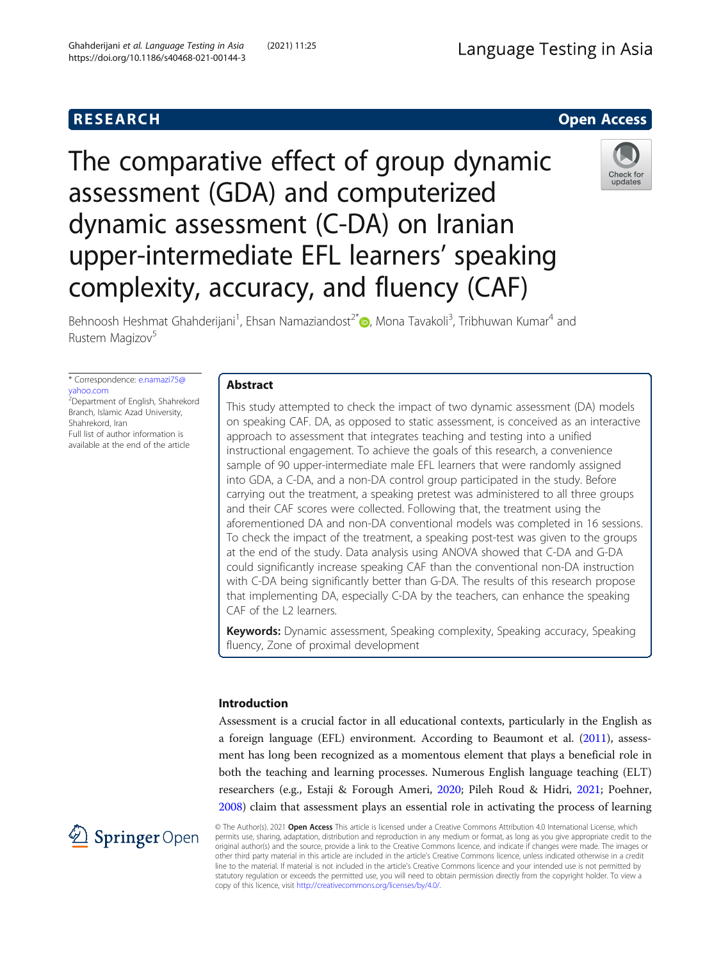# **RESEARCH RESEARCH** *CHECKER CHECKER CHECKER CHECKER CHECKER CHECKER CHECKER CHECKER CHECKER CHECKER CHECKER*

# The comparative effect of group dynamic assessment (GDA) and computerized dynamic assessment (C-DA) on Iranian upper-intermediate EFL learners' speaking complexity, accuracy, and fluency (CAF)



Behnoosh Heshmat Ghahderijani<sup>1</sup>[,](http://orcid.org/0000-0002-8393-2537) Ehsan Namaziandost<sup>2\*</sup>®, Mona Tavakoli<sup>3</sup>, Tribhuwan Kumar<sup>4</sup> and Rustem Magizov<sup>5</sup>

\* Correspondence: [e.namazi75@](mailto:e.namazi75@yahoo.com) [yahoo.com](mailto:e.namazi75@yahoo.com) 2 Department of English, Shahrekord Branch, Islamic Azad University, Shahrekord, Iran

Full list of author information is available at the end of the article

# Abstract

This study attempted to check the impact of two dynamic assessment (DA) models on speaking CAF. DA, as opposed to static assessment, is conceived as an interactive approach to assessment that integrates teaching and testing into a unified instructional engagement. To achieve the goals of this research, a convenience sample of 90 upper-intermediate male EFL learners that were randomly assigned into GDA, a C-DA, and a non-DA control group participated in the study. Before carrying out the treatment, a speaking pretest was administered to all three groups and their CAF scores were collected. Following that, the treatment using the aforementioned DA and non-DA conventional models was completed in 16 sessions. To check the impact of the treatment, a speaking post-test was given to the groups at the end of the study. Data analysis using ANOVA showed that C-DA and G-DA could significantly increase speaking CAF than the conventional non-DA instruction with C-DA being significantly better than G-DA. The results of this research propose that implementing DA, especially C-DA by the teachers, can enhance the speaking CAF of the L2 learners.

Keywords: Dynamic assessment, Speaking complexity, Speaking accuracy, Speaking fluency, Zone of proximal development

# Introduction

Assessment is a crucial factor in all educational contexts, particularly in the English as a foreign language (EFL) environment. According to Beaumont et al. ([2011](#page-18-0)), assessment has long been recognized as a momentous element that plays a beneficial role in both the teaching and learning processes. Numerous English language teaching (ELT) researchers (e.g., Estaji & Forough Ameri, [2020](#page-18-0); Pileh Roud & Hidri, [2021](#page-19-0); Poehner, [2008](#page-19-0)) claim that assessment plays an essential role in activating the process of learning



© The Author(s). 2021 Open Access This article is licensed under a Creative Commons Attribution 4.0 International License, which permits use, sharing, adaptation, distribution and reproduction in any medium or format, as long as you give appropriate credit to the original author(s) and the source, provide a link to the Creative Commons licence, and indicate if changes were made. The images or other third party material in this article are included in the article's Creative Commons licence, unless indicated otherwise in a credit line to the material. If material is not included in the article's Creative Commons licence and your intended use is not permitted by statutory regulation or exceeds the permitted use, you will need to obtain permission directly from the copyright holder. To view a copy of this licence, visit <http://creativecommons.org/licenses/by/4.0/>.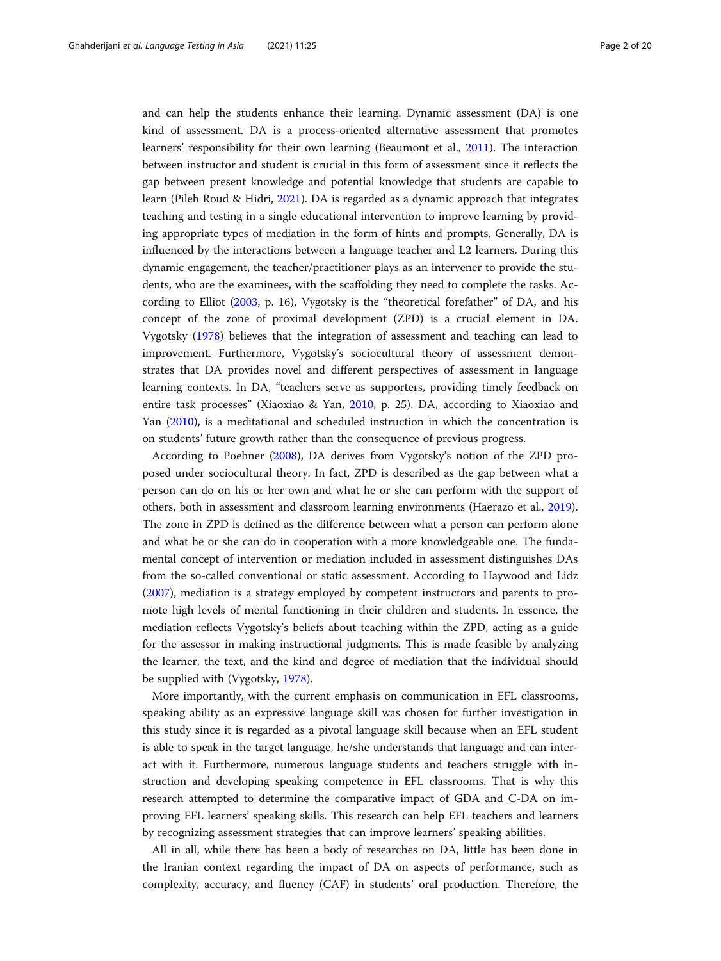and can help the students enhance their learning. Dynamic assessment (DA) is one kind of assessment. DA is a process-oriented alternative assessment that promotes learners' responsibility for their own learning (Beaumont et al., [2011](#page-18-0)). The interaction between instructor and student is crucial in this form of assessment since it reflects the gap between present knowledge and potential knowledge that students are capable to learn (Pileh Roud & Hidri, [2021\)](#page-19-0). DA is regarded as a dynamic approach that integrates teaching and testing in a single educational intervention to improve learning by providing appropriate types of mediation in the form of hints and prompts. Generally, DA is influenced by the interactions between a language teacher and L2 learners. During this dynamic engagement, the teacher/practitioner plays as an intervener to provide the students, who are the examinees, with the scaffolding they need to complete the tasks. According to Elliot [\(2003,](#page-18-0) p. 16), Vygotsky is the "theoretical forefather" of DA, and his concept of the zone of proximal development (ZPD) is a crucial element in DA. Vygotsky [\(1978\)](#page-19-0) believes that the integration of assessment and teaching can lead to improvement. Furthermore, Vygotsky's sociocultural theory of assessment demonstrates that DA provides novel and different perspectives of assessment in language learning contexts. In DA, "teachers serve as supporters, providing timely feedback on entire task processes" (Xiaoxiao & Yan, [2010,](#page-19-0) p. 25). DA, according to Xiaoxiao and Yan ([2010](#page-19-0)), is a meditational and scheduled instruction in which the concentration is on students' future growth rather than the consequence of previous progress.

According to Poehner ([2008](#page-19-0)), DA derives from Vygotsky's notion of the ZPD proposed under sociocultural theory. In fact, ZPD is described as the gap between what a person can do on his or her own and what he or she can perform with the support of others, both in assessment and classroom learning environments (Haerazo et al., [2019](#page-18-0)). The zone in ZPD is defined as the difference between what a person can perform alone and what he or she can do in cooperation with a more knowledgeable one. The fundamental concept of intervention or mediation included in assessment distinguishes DAs from the so-called conventional or static assessment. According to Haywood and Lidz ([2007](#page-18-0)), mediation is a strategy employed by competent instructors and parents to promote high levels of mental functioning in their children and students. In essence, the mediation reflects Vygotsky's beliefs about teaching within the ZPD, acting as a guide for the assessor in making instructional judgments. This is made feasible by analyzing the learner, the text, and the kind and degree of mediation that the individual should be supplied with (Vygotsky, [1978](#page-19-0)).

More importantly, with the current emphasis on communication in EFL classrooms, speaking ability as an expressive language skill was chosen for further investigation in this study since it is regarded as a pivotal language skill because when an EFL student is able to speak in the target language, he/she understands that language and can interact with it. Furthermore, numerous language students and teachers struggle with instruction and developing speaking competence in EFL classrooms. That is why this research attempted to determine the comparative impact of GDA and C-DA on improving EFL learners' speaking skills. This research can help EFL teachers and learners by recognizing assessment strategies that can improve learners' speaking abilities.

All in all, while there has been a body of researches on DA, little has been done in the Iranian context regarding the impact of DA on aspects of performance, such as complexity, accuracy, and fluency (CAF) in students' oral production. Therefore, the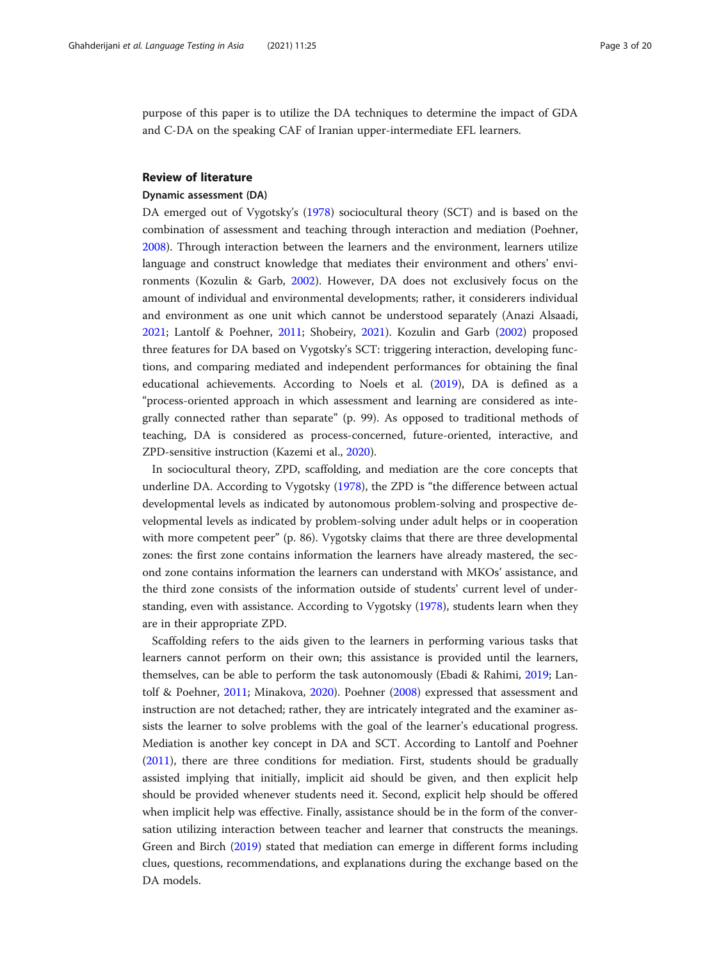purpose of this paper is to utilize the DA techniques to determine the impact of GDA and C-DA on the speaking CAF of Iranian upper-intermediate EFL learners.

# Review of literature

## Dynamic assessment (DA)

DA emerged out of Vygotsky's ([1978](#page-19-0)) sociocultural theory (SCT) and is based on the combination of assessment and teaching through interaction and mediation (Poehner, [2008](#page-19-0)). Through interaction between the learners and the environment, learners utilize language and construct knowledge that mediates their environment and others' environments (Kozulin & Garb, [2002](#page-19-0)). However, DA does not exclusively focus on the amount of individual and environmental developments; rather, it considerers individual and environment as one unit which cannot be understood separately (Anazi Alsaadi, [2021](#page-18-0); Lantolf & Poehner, [2011;](#page-19-0) Shobeiry, [2021](#page-19-0)). Kozulin and Garb [\(2002](#page-19-0)) proposed three features for DA based on Vygotsky's SCT: triggering interaction, developing functions, and comparing mediated and independent performances for obtaining the final educational achievements. According to Noels et al. ([2019](#page-19-0)), DA is defined as a "process-oriented approach in which assessment and learning are considered as integrally connected rather than separate" (p. 99). As opposed to traditional methods of teaching, DA is considered as process-concerned, future-oriented, interactive, and ZPD-sensitive instruction (Kazemi et al., [2020\)](#page-19-0).

In sociocultural theory, ZPD, scaffolding, and mediation are the core concepts that underline DA. According to Vygotsky ([1978\)](#page-19-0), the ZPD is "the difference between actual developmental levels as indicated by autonomous problem-solving and prospective developmental levels as indicated by problem-solving under adult helps or in cooperation with more competent peer" (p. 86). Vygotsky claims that there are three developmental zones: the first zone contains information the learners have already mastered, the second zone contains information the learners can understand with MKOs' assistance, and the third zone consists of the information outside of students' current level of understanding, even with assistance. According to Vygotsky [\(1978\)](#page-19-0), students learn when they are in their appropriate ZPD.

Scaffolding refers to the aids given to the learners in performing various tasks that learners cannot perform on their own; this assistance is provided until the learners, themselves, can be able to perform the task autonomously (Ebadi & Rahimi, [2019](#page-18-0); Lantolf & Poehner, [2011;](#page-19-0) Minakova, [2020\)](#page-19-0). Poehner [\(2008\)](#page-19-0) expressed that assessment and instruction are not detached; rather, they are intricately integrated and the examiner assists the learner to solve problems with the goal of the learner's educational progress. Mediation is another key concept in DA and SCT. According to Lantolf and Poehner ([2011](#page-19-0)), there are three conditions for mediation. First, students should be gradually assisted implying that initially, implicit aid should be given, and then explicit help should be provided whenever students need it. Second, explicit help should be offered when implicit help was effective. Finally, assistance should be in the form of the conversation utilizing interaction between teacher and learner that constructs the meanings. Green and Birch [\(2019](#page-18-0)) stated that mediation can emerge in different forms including clues, questions, recommendations, and explanations during the exchange based on the DA models.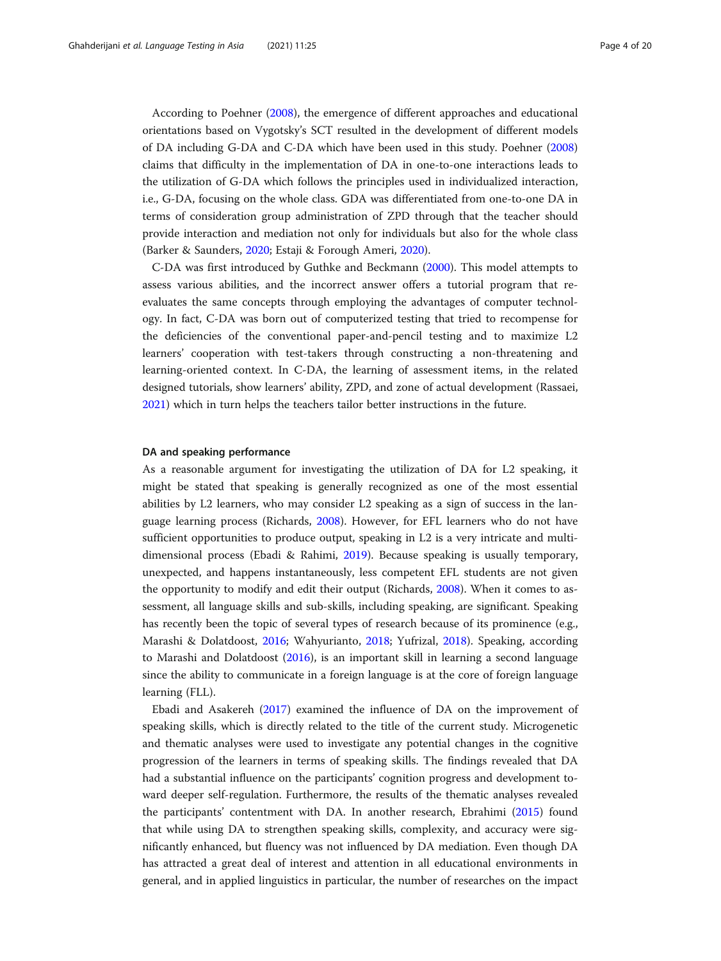According to Poehner ([2008\)](#page-19-0), the emergence of different approaches and educational orientations based on Vygotsky's SCT resulted in the development of different models of DA including G-DA and C-DA which have been used in this study. Poehner ([2008](#page-19-0)) claims that difficulty in the implementation of DA in one-to-one interactions leads to the utilization of G-DA which follows the principles used in individualized interaction, i.e., G-DA, focusing on the whole class. GDA was differentiated from one-to-one DA in terms of consideration group administration of ZPD through that the teacher should provide interaction and mediation not only for individuals but also for the whole class (Barker & Saunders, [2020;](#page-18-0) Estaji & Forough Ameri, [2020](#page-18-0)).

C-DA was first introduced by Guthke and Beckmann [\(2000\)](#page-18-0). This model attempts to assess various abilities, and the incorrect answer offers a tutorial program that reevaluates the same concepts through employing the advantages of computer technology. In fact, C-DA was born out of computerized testing that tried to recompense for the deficiencies of the conventional paper-and-pencil testing and to maximize L2 learners' cooperation with test-takers through constructing a non-threatening and learning-oriented context. In C-DA, the learning of assessment items, in the related designed tutorials, show learners' ability, ZPD, and zone of actual development (Rassaei, [2021](#page-19-0)) which in turn helps the teachers tailor better instructions in the future.

## DA and speaking performance

As a reasonable argument for investigating the utilization of DA for L2 speaking, it might be stated that speaking is generally recognized as one of the most essential abilities by L2 learners, who may consider L2 speaking as a sign of success in the language learning process (Richards, [2008](#page-19-0)). However, for EFL learners who do not have sufficient opportunities to produce output, speaking in L2 is a very intricate and multidimensional process (Ebadi & Rahimi, [2019](#page-18-0)). Because speaking is usually temporary, unexpected, and happens instantaneously, less competent EFL students are not given the opportunity to modify and edit their output (Richards, [2008](#page-19-0)). When it comes to assessment, all language skills and sub-skills, including speaking, are significant. Speaking has recently been the topic of several types of research because of its prominence (e.g., Marashi & Dolatdoost, [2016;](#page-19-0) Wahyurianto, [2018](#page-19-0); Yufrizal, [2018\)](#page-19-0). Speaking, according to Marashi and Dolatdoost ([2016](#page-19-0)), is an important skill in learning a second language since the ability to communicate in a foreign language is at the core of foreign language learning (FLL).

Ebadi and Asakereh ([2017](#page-18-0)) examined the influence of DA on the improvement of speaking skills, which is directly related to the title of the current study. Microgenetic and thematic analyses were used to investigate any potential changes in the cognitive progression of the learners in terms of speaking skills. The findings revealed that DA had a substantial influence on the participants' cognition progress and development toward deeper self-regulation. Furthermore, the results of the thematic analyses revealed the participants' contentment with DA. In another research, Ebrahimi [\(2015\)](#page-18-0) found that while using DA to strengthen speaking skills, complexity, and accuracy were significantly enhanced, but fluency was not influenced by DA mediation. Even though DA has attracted a great deal of interest and attention in all educational environments in general, and in applied linguistics in particular, the number of researches on the impact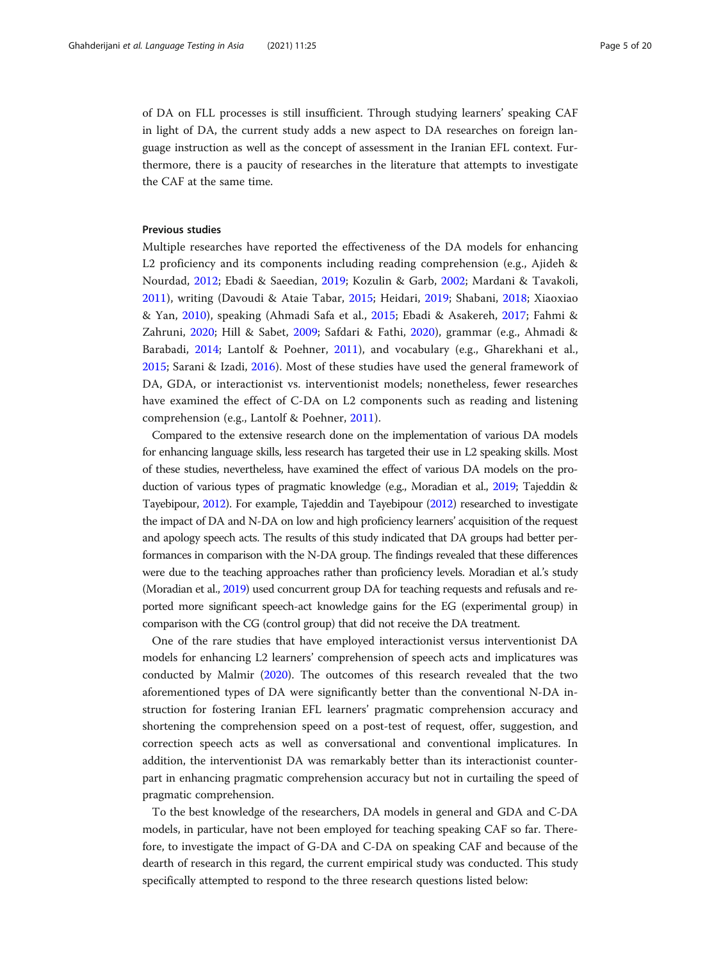of DA on FLL processes is still insufficient. Through studying learners' speaking CAF in light of DA, the current study adds a new aspect to DA researches on foreign language instruction as well as the concept of assessment in the Iranian EFL context. Furthermore, there is a paucity of researches in the literature that attempts to investigate the CAF at the same time.

# Previous studies

Multiple researches have reported the effectiveness of the DA models for enhancing L2 proficiency and its components including reading comprehension (e.g., Ajideh & Nourdad, [2012](#page-18-0); Ebadi & Saeedian, [2019;](#page-18-0) Kozulin & Garb, [2002](#page-19-0); Mardani & Tavakoli, [2011\)](#page-19-0), writing (Davoudi & Ataie Tabar, [2015](#page-18-0); Heidari, [2019;](#page-18-0) Shabani, [2018;](#page-19-0) Xiaoxiao & Yan, [2010\)](#page-19-0), speaking (Ahmadi Safa et al., [2015;](#page-18-0) Ebadi & Asakereh, [2017;](#page-18-0) Fahmi & Zahruni, [2020](#page-18-0); Hill & Sabet, [2009](#page-19-0); Safdari & Fathi, [2020](#page-19-0)), grammar (e.g., Ahmadi & Barabadi, [2014;](#page-18-0) Lantolf & Poehner, [2011](#page-19-0)), and vocabulary (e.g., Gharekhani et al., [2015;](#page-18-0) Sarani & Izadi, [2016\)](#page-19-0). Most of these studies have used the general framework of DA, GDA, or interactionist vs. interventionist models; nonetheless, fewer researches have examined the effect of C-DA on L2 components such as reading and listening comprehension (e.g., Lantolf & Poehner, [2011](#page-19-0)).

Compared to the extensive research done on the implementation of various DA models for enhancing language skills, less research has targeted their use in L2 speaking skills. Most of these studies, nevertheless, have examined the effect of various DA models on the production of various types of pragmatic knowledge (e.g., Moradian et al., [2019](#page-19-0); Tajeddin & Tayebipour, [2012](#page-19-0)). For example, Tajeddin and Tayebipour [\(2012](#page-19-0)) researched to investigate the impact of DA and N-DA on low and high proficiency learners' acquisition of the request and apology speech acts. The results of this study indicated that DA groups had better performances in comparison with the N-DA group. The findings revealed that these differences were due to the teaching approaches rather than proficiency levels. Moradian et al.'s study (Moradian et al., [2019](#page-19-0)) used concurrent group DA for teaching requests and refusals and reported more significant speech-act knowledge gains for the EG (experimental group) in comparison with the CG (control group) that did not receive the DA treatment.

One of the rare studies that have employed interactionist versus interventionist DA models for enhancing L2 learners' comprehension of speech acts and implicatures was conducted by Malmir [\(2020\)](#page-19-0). The outcomes of this research revealed that the two aforementioned types of DA were significantly better than the conventional N-DA instruction for fostering Iranian EFL learners' pragmatic comprehension accuracy and shortening the comprehension speed on a post-test of request, offer, suggestion, and correction speech acts as well as conversational and conventional implicatures. In addition, the interventionist DA was remarkably better than its interactionist counterpart in enhancing pragmatic comprehension accuracy but not in curtailing the speed of pragmatic comprehension.

To the best knowledge of the researchers, DA models in general and GDA and C-DA models, in particular, have not been employed for teaching speaking CAF so far. Therefore, to investigate the impact of G-DA and C-DA on speaking CAF and because of the dearth of research in this regard, the current empirical study was conducted. This study specifically attempted to respond to the three research questions listed below: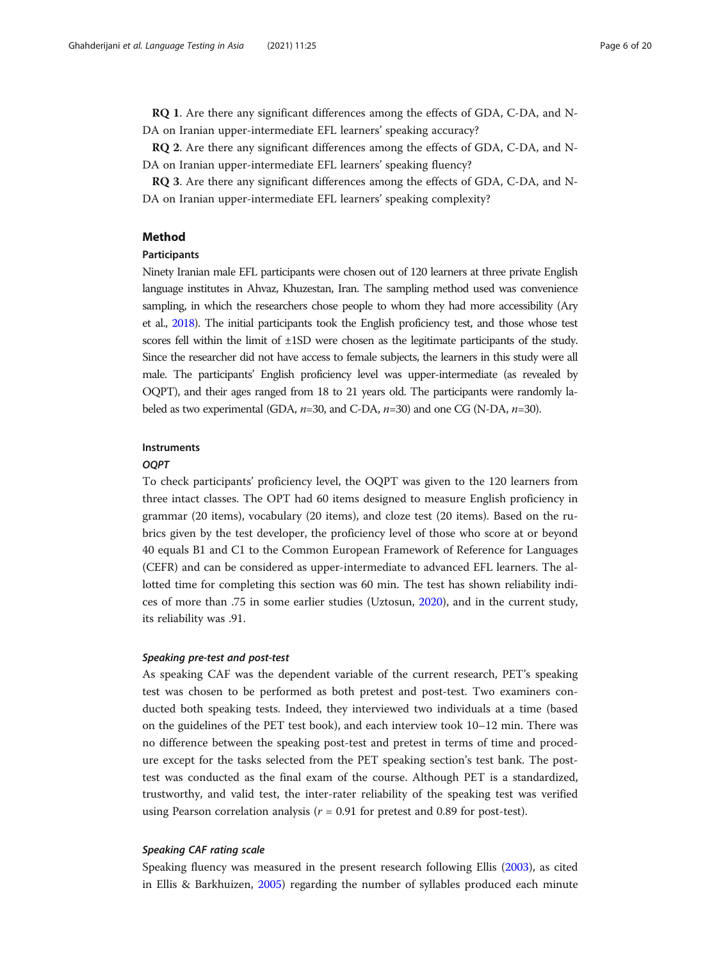RQ 1. Are there any significant differences among the effects of GDA, C-DA, and N-DA on Iranian upper-intermediate EFL learners' speaking accuracy?

RQ 2. Are there any significant differences among the effects of GDA, C-DA, and N-DA on Iranian upper-intermediate EFL learners' speaking fluency?

RQ 3. Are there any significant differences among the effects of GDA, C-DA, and N-DA on Iranian upper-intermediate EFL learners' speaking complexity?

# Method

# Participants

Ninety Iranian male EFL participants were chosen out of 120 learners at three private English language institutes in Ahvaz, Khuzestan, Iran. The sampling method used was convenience sampling, in which the researchers chose people to whom they had more accessibility (Ary et al., [2018\)](#page-18-0). The initial participants took the English proficiency test, and those whose test scores fell within the limit of ±1SD were chosen as the legitimate participants of the study. Since the researcher did not have access to female subjects, the learners in this study were all male. The participants' English proficiency level was upper-intermediate (as revealed by OQPT), and their ages ranged from 18 to 21 years old. The participants were randomly labeled as two experimental (GDA,  $n=30$ , and C-DA,  $n=30$ ) and one CG (N-DA,  $n=30$ ).

# Instruments

# OQPT

To check participants' proficiency level, the OQPT was given to the 120 learners from three intact classes. The OPT had 60 items designed to measure English proficiency in grammar (20 items), vocabulary (20 items), and cloze test (20 items). Based on the rubrics given by the test developer, the proficiency level of those who score at or beyond 40 equals B1 and C1 to the Common European Framework of Reference for Languages (CEFR) and can be considered as upper-intermediate to advanced EFL learners. The allotted time for completing this section was 60 min. The test has shown reliability indices of more than .75 in some earlier studies (Uztosun, [2020\)](#page-19-0), and in the current study, its reliability was .91.

# Speaking pre-test and post-test

As speaking CAF was the dependent variable of the current research, PET's speaking test was chosen to be performed as both pretest and post-test. Two examiners conducted both speaking tests. Indeed, they interviewed two individuals at a time (based on the guidelines of the PET test book), and each interview took 10–12 min. There was no difference between the speaking post-test and pretest in terms of time and procedure except for the tasks selected from the PET speaking section's test bank. The posttest was conducted as the final exam of the course. Although PET is a standardized, trustworthy, and valid test, the inter-rater reliability of the speaking test was verified using Pearson correlation analysis ( $r = 0.91$  for pretest and 0.89 for post-test).

# Speaking CAF rating scale

Speaking fluency was measured in the present research following Ellis [\(2003](#page-18-0)), as cited in Ellis & Barkhuizen, [2005\)](#page-18-0) regarding the number of syllables produced each minute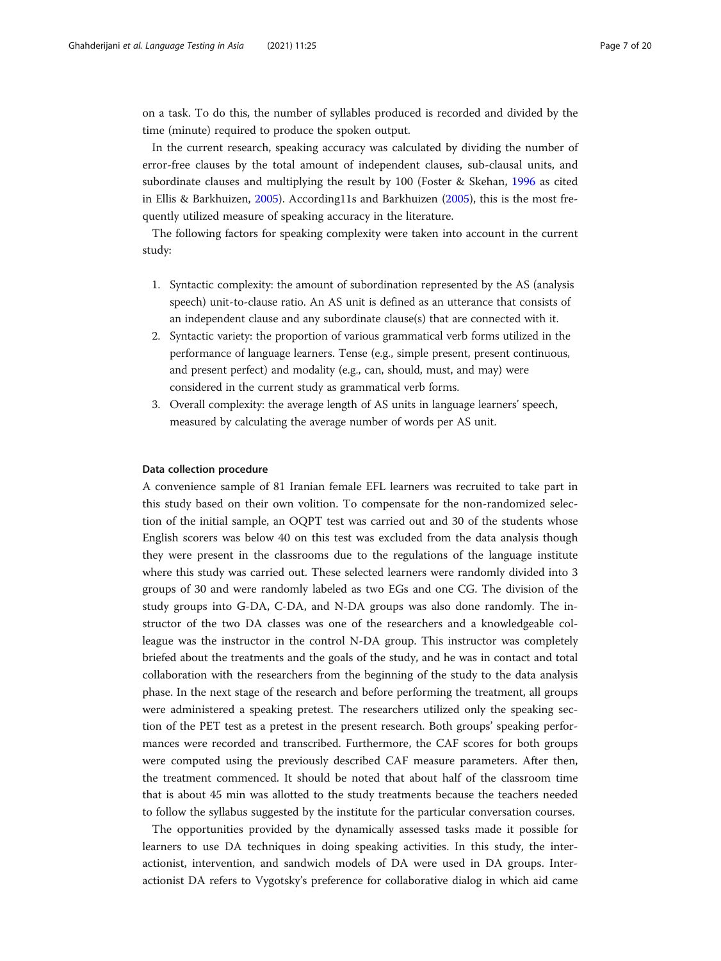on a task. To do this, the number of syllables produced is recorded and divided by the time (minute) required to produce the spoken output.

In the current research, speaking accuracy was calculated by dividing the number of error-free clauses by the total amount of independent clauses, sub-clausal units, and subordinate clauses and multiplying the result by 100 (Foster & Skehan, [1996](#page-18-0) as cited in Ellis & Barkhuizen, [2005](#page-18-0)). According11s and Barkhuizen [\(2005\)](#page-18-0), this is the most frequently utilized measure of speaking accuracy in the literature.

The following factors for speaking complexity were taken into account in the current study:

- 1. Syntactic complexity: the amount of subordination represented by the AS (analysis speech) unit-to-clause ratio. An AS unit is defined as an utterance that consists of an independent clause and any subordinate clause(s) that are connected with it.
- 2. Syntactic variety: the proportion of various grammatical verb forms utilized in the performance of language learners. Tense (e.g., simple present, present continuous, and present perfect) and modality (e.g., can, should, must, and may) were considered in the current study as grammatical verb forms.
- 3. Overall complexity: the average length of AS units in language learners' speech, measured by calculating the average number of words per AS unit.

## Data collection procedure

A convenience sample of 81 Iranian female EFL learners was recruited to take part in this study based on their own volition. To compensate for the non-randomized selection of the initial sample, an OQPT test was carried out and 30 of the students whose English scorers was below 40 on this test was excluded from the data analysis though they were present in the classrooms due to the regulations of the language institute where this study was carried out. These selected learners were randomly divided into 3 groups of 30 and were randomly labeled as two EGs and one CG. The division of the study groups into G-DA, C-DA, and N-DA groups was also done randomly. The instructor of the two DA classes was one of the researchers and a knowledgeable colleague was the instructor in the control N-DA group. This instructor was completely briefed about the treatments and the goals of the study, and he was in contact and total collaboration with the researchers from the beginning of the study to the data analysis phase. In the next stage of the research and before performing the treatment, all groups were administered a speaking pretest. The researchers utilized only the speaking section of the PET test as a pretest in the present research. Both groups' speaking performances were recorded and transcribed. Furthermore, the CAF scores for both groups were computed using the previously described CAF measure parameters. After then, the treatment commenced. It should be noted that about half of the classroom time that is about 45 min was allotted to the study treatments because the teachers needed to follow the syllabus suggested by the institute for the particular conversation courses.

The opportunities provided by the dynamically assessed tasks made it possible for learners to use DA techniques in doing speaking activities. In this study, the interactionist, intervention, and sandwich models of DA were used in DA groups. Interactionist DA refers to Vygotsky's preference for collaborative dialog in which aid came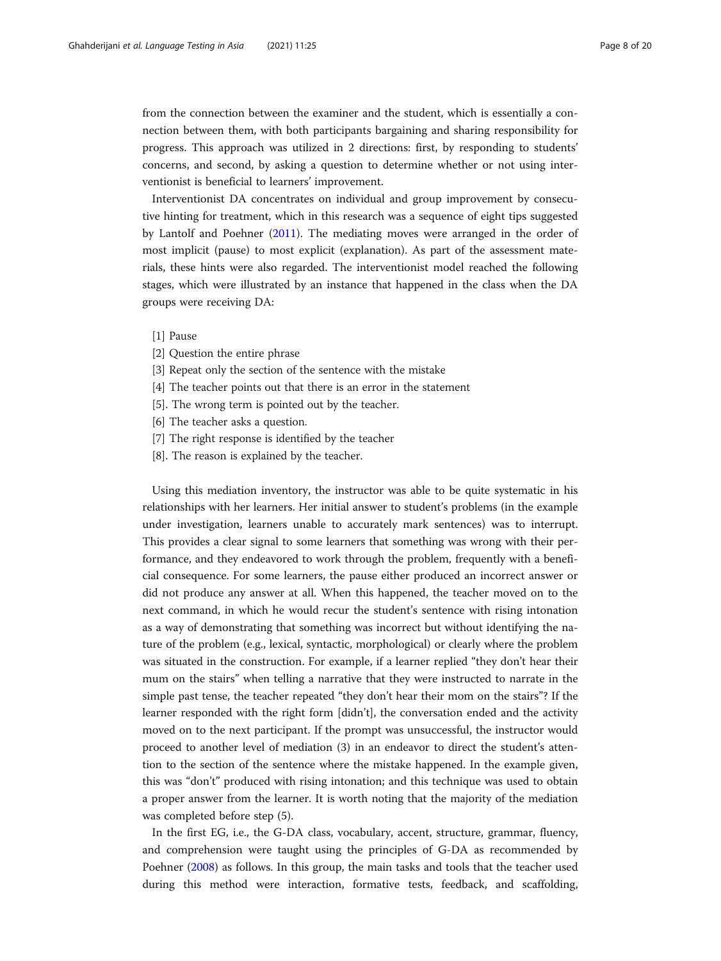from the connection between the examiner and the student, which is essentially a connection between them, with both participants bargaining and sharing responsibility for progress. This approach was utilized in 2 directions: first, by responding to students' concerns, and second, by asking a question to determine whether or not using interventionist is beneficial to learners' improvement.

Interventionist DA concentrates on individual and group improvement by consecutive hinting for treatment, which in this research was a sequence of eight tips suggested by Lantolf and Poehner [\(2011\)](#page-19-0). The mediating moves were arranged in the order of most implicit (pause) to most explicit (explanation). As part of the assessment materials, these hints were also regarded. The interventionist model reached the following stages, which were illustrated by an instance that happened in the class when the DA groups were receiving DA:

- [1] Pause
- [2] Question the entire phrase
- [3] Repeat only the section of the sentence with the mistake
- [4] The teacher points out that there is an error in the statement
- [5]. The wrong term is pointed out by the teacher.
- [6] The teacher asks a question.
- [7] The right response is identified by the teacher
- [8]. The reason is explained by the teacher.

Using this mediation inventory, the instructor was able to be quite systematic in his relationships with her learners. Her initial answer to student's problems (in the example under investigation, learners unable to accurately mark sentences) was to interrupt. This provides a clear signal to some learners that something was wrong with their performance, and they endeavored to work through the problem, frequently with a beneficial consequence. For some learners, the pause either produced an incorrect answer or did not produce any answer at all. When this happened, the teacher moved on to the next command, in which he would recur the student's sentence with rising intonation as a way of demonstrating that something was incorrect but without identifying the nature of the problem (e.g., lexical, syntactic, morphological) or clearly where the problem was situated in the construction. For example, if a learner replied "they don't hear their mum on the stairs" when telling a narrative that they were instructed to narrate in the simple past tense, the teacher repeated "they don't hear their mom on the stairs"? If the learner responded with the right form [didn't], the conversation ended and the activity moved on to the next participant. If the prompt was unsuccessful, the instructor would proceed to another level of mediation (3) in an endeavor to direct the student's attention to the section of the sentence where the mistake happened. In the example given, this was "don't" produced with rising intonation; and this technique was used to obtain a proper answer from the learner. It is worth noting that the majority of the mediation was completed before step (5).

In the first EG, i.e., the G-DA class, vocabulary, accent, structure, grammar, fluency, and comprehension were taught using the principles of G-DA as recommended by Poehner ([2008](#page-19-0)) as follows. In this group, the main tasks and tools that the teacher used during this method were interaction, formative tests, feedback, and scaffolding,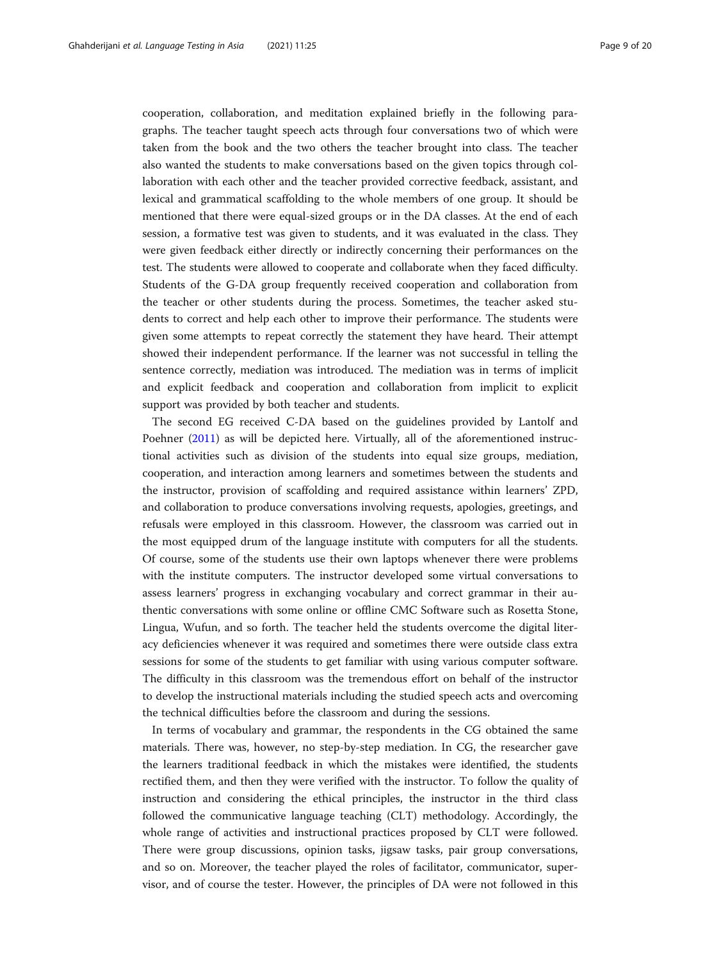cooperation, collaboration, and meditation explained briefly in the following paragraphs. The teacher taught speech acts through four conversations two of which were taken from the book and the two others the teacher brought into class. The teacher also wanted the students to make conversations based on the given topics through collaboration with each other and the teacher provided corrective feedback, assistant, and lexical and grammatical scaffolding to the whole members of one group. It should be mentioned that there were equal-sized groups or in the DA classes. At the end of each session, a formative test was given to students, and it was evaluated in the class. They were given feedback either directly or indirectly concerning their performances on the test. The students were allowed to cooperate and collaborate when they faced difficulty. Students of the G-DA group frequently received cooperation and collaboration from the teacher or other students during the process. Sometimes, the teacher asked students to correct and help each other to improve their performance. The students were given some attempts to repeat correctly the statement they have heard. Their attempt showed their independent performance. If the learner was not successful in telling the sentence correctly, mediation was introduced. The mediation was in terms of implicit and explicit feedback and cooperation and collaboration from implicit to explicit support was provided by both teacher and students.

The second EG received C-DA based on the guidelines provided by Lantolf and Poehner ([2011](#page-19-0)) as will be depicted here. Virtually, all of the aforementioned instructional activities such as division of the students into equal size groups, mediation, cooperation, and interaction among learners and sometimes between the students and the instructor, provision of scaffolding and required assistance within learners' ZPD, and collaboration to produce conversations involving requests, apologies, greetings, and refusals were employed in this classroom. However, the classroom was carried out in the most equipped drum of the language institute with computers for all the students. Of course, some of the students use their own laptops whenever there were problems with the institute computers. The instructor developed some virtual conversations to assess learners' progress in exchanging vocabulary and correct grammar in their authentic conversations with some online or offline CMC Software such as Rosetta Stone, Lingua, Wufun, and so forth. The teacher held the students overcome the digital literacy deficiencies whenever it was required and sometimes there were outside class extra sessions for some of the students to get familiar with using various computer software. The difficulty in this classroom was the tremendous effort on behalf of the instructor to develop the instructional materials including the studied speech acts and overcoming the technical difficulties before the classroom and during the sessions.

In terms of vocabulary and grammar, the respondents in the CG obtained the same materials. There was, however, no step-by-step mediation. In CG, the researcher gave the learners traditional feedback in which the mistakes were identified, the students rectified them, and then they were verified with the instructor. To follow the quality of instruction and considering the ethical principles, the instructor in the third class followed the communicative language teaching (CLT) methodology. Accordingly, the whole range of activities and instructional practices proposed by CLT were followed. There were group discussions, opinion tasks, jigsaw tasks, pair group conversations, and so on. Moreover, the teacher played the roles of facilitator, communicator, supervisor, and of course the tester. However, the principles of DA were not followed in this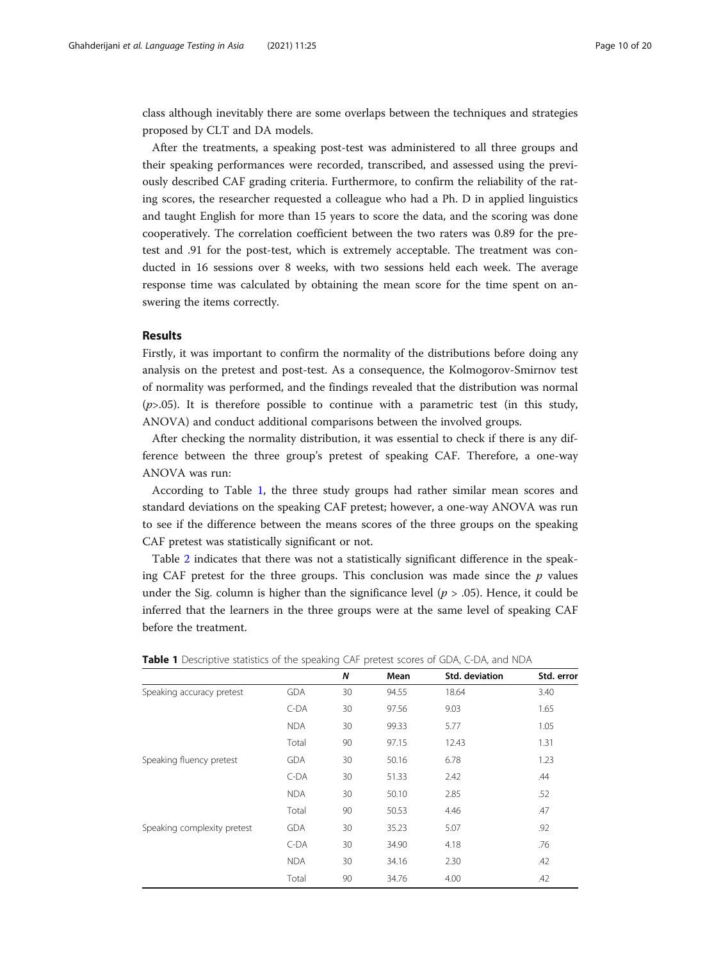class although inevitably there are some overlaps between the techniques and strategies proposed by CLT and DA models.

After the treatments, a speaking post-test was administered to all three groups and their speaking performances were recorded, transcribed, and assessed using the previously described CAF grading criteria. Furthermore, to confirm the reliability of the rating scores, the researcher requested a colleague who had a Ph. D in applied linguistics and taught English for more than 15 years to score the data, and the scoring was done cooperatively. The correlation coefficient between the two raters was 0.89 for the pretest and .91 for the post-test, which is extremely acceptable. The treatment was conducted in 16 sessions over 8 weeks, with two sessions held each week. The average response time was calculated by obtaining the mean score for the time spent on answering the items correctly.

# Results

Firstly, it was important to confirm the normality of the distributions before doing any analysis on the pretest and post-test. As a consequence, the Kolmogorov-Smirnov test of normality was performed, and the findings revealed that the distribution was normal  $(p>0.05)$ . It is therefore possible to continue with a parametric test (in this study, ANOVA) and conduct additional comparisons between the involved groups.

After checking the normality distribution, it was essential to check if there is any difference between the three group's pretest of speaking CAF. Therefore, a one-way ANOVA was run:

According to Table 1, the three study groups had rather similar mean scores and standard deviations on the speaking CAF pretest; however, a one-way ANOVA was run to see if the difference between the means scores of the three groups on the speaking CAF pretest was statistically significant or not.

Table [2](#page-10-0) indicates that there was not a statistically significant difference in the speaking CAF pretest for the three groups. This conclusion was made since the  $p$  values under the Sig. column is higher than the significance level ( $p > .05$ ). Hence, it could be inferred that the learners in the three groups were at the same level of speaking CAF before the treatment.

|                             |            | N  | Mean  | Std. deviation | Std. error |
|-----------------------------|------------|----|-------|----------------|------------|
| Speaking accuracy pretest   | <b>GDA</b> | 30 | 94.55 | 18.64          | 3.40       |
|                             | $C-DA$     | 30 | 97.56 | 9.03           | 1.65       |
|                             | <b>NDA</b> | 30 | 99.33 | 5.77           | 1.05       |
|                             | Total      | 90 | 97.15 | 12.43          | 1.31       |
| Speaking fluency pretest    | <b>GDA</b> | 30 | 50.16 | 6.78           | 1.23       |
|                             | $C-DA$     | 30 | 51.33 | 2.42           | .44        |
|                             | <b>NDA</b> | 30 | 50.10 | 2.85           | .52        |
|                             | Total      | 90 | 50.53 | 4.46           | .47        |
| Speaking complexity pretest | <b>GDA</b> | 30 | 35.23 | 5.07           | .92        |
|                             | $C-DA$     | 30 | 34.90 | 4.18           | .76        |
|                             | <b>NDA</b> | 30 | 34.16 | 2.30           | .42        |
|                             | Total      | 90 | 34.76 | 4.00           | .42        |

Table 1 Descriptive statistics of the speaking CAF pretest scores of GDA, C-DA, and NDA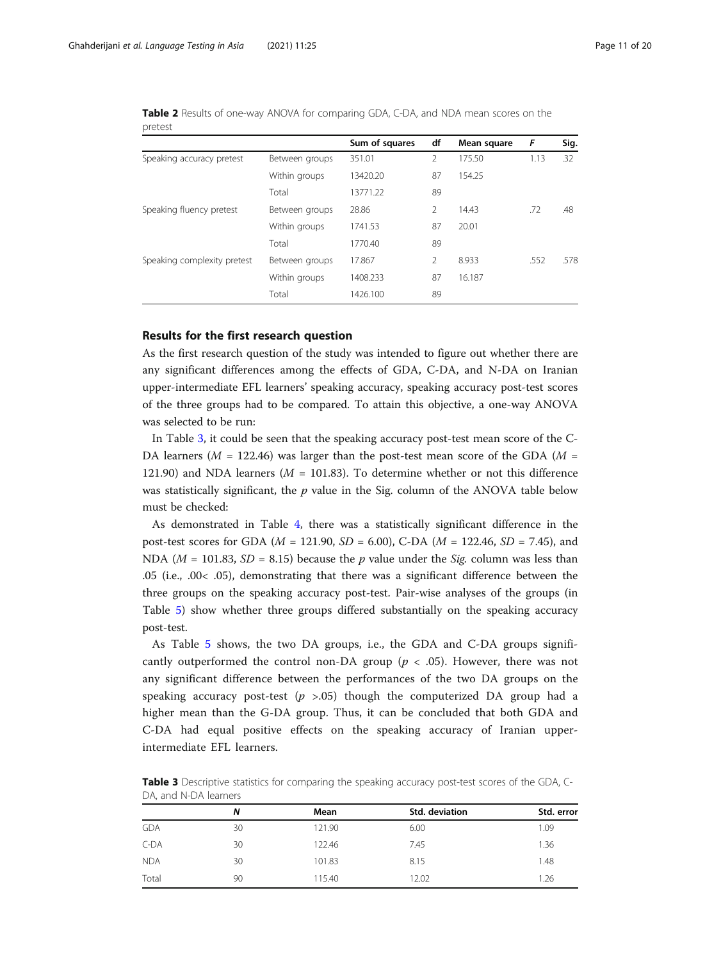|                             |                | Sum of squares | df | Mean square | F    | Sig. |
|-----------------------------|----------------|----------------|----|-------------|------|------|
| Speaking accuracy pretest   | Between groups | 351.01         | 2  | 175.50      | 1.13 | .32  |
|                             | Within groups  | 13420.20       | 87 | 154.25      |      |      |
|                             | Total          | 13771.22       | 89 |             |      |      |
| Speaking fluency pretest    | Between groups | 28.86          | 2  | 14.43       | .72  | .48  |
|                             | Within groups  | 1741.53        | 87 | 20.01       |      |      |
|                             | Total          | 1770.40        | 89 |             |      |      |
| Speaking complexity pretest | Between groups | 17.867         | 2  | 8.933       | .552 | .578 |
|                             | Within groups  | 1408.233       | 87 | 16.187      |      |      |
|                             | Total          | 1426.100       | 89 |             |      |      |

<span id="page-10-0"></span>Table 2 Results of one-way ANOVA for comparing GDA, C-DA, and NDA mean scores on the pretest

# Results for the first research question

As the first research question of the study was intended to figure out whether there are any significant differences among the effects of GDA, C-DA, and N-DA on Iranian upper-intermediate EFL learners' speaking accuracy, speaking accuracy post-test scores of the three groups had to be compared. To attain this objective, a one-way ANOVA was selected to be run:

In Table 3, it could be seen that the speaking accuracy post-test mean score of the C-DA learners ( $M = 122.46$ ) was larger than the post-test mean score of the GDA ( $M =$ 121.90) and NDA learners ( $M = 101.83$ ). To determine whether or not this difference was statistically significant, the  $p$  value in the Sig. column of the ANOVA table below must be checked:

As demonstrated in Table [4](#page-11-0), there was a statistically significant difference in the post-test scores for GDA ( $M = 121.90$ ,  $SD = 6.00$ ), C-DA ( $M = 122.46$ ,  $SD = 7.45$ ), and NDA ( $M = 101.83$ ,  $SD = 8.15$ ) because the p value under the *Sig.* column was less than .05 (i.e., .00< .05), demonstrating that there was a significant difference between the three groups on the speaking accuracy post-test. Pair-wise analyses of the groups (in Table [5](#page-11-0)) show whether three groups differed substantially on the speaking accuracy post-test.

As Table [5](#page-11-0) shows, the two DA groups, i.e., the GDA and C-DA groups significantly outperformed the control non-DA group ( $p < .05$ ). However, there was not any significant difference between the performances of the two DA groups on the speaking accuracy post-test ( $p > .05$ ) though the computerized DA group had a higher mean than the G-DA group. Thus, it can be concluded that both GDA and C-DA had equal positive effects on the speaking accuracy of Iranian upperintermediate EFL learners.

Table 3 Descriptive statistics for comparing the speaking accuracy post-test scores of the GDA, C-DA, and N-DA learners

|            | N  | Mean   | Std. deviation | Std. error |  |  |  |
|------------|----|--------|----------------|------------|--|--|--|
| <b>GDA</b> | 30 | 121.90 | 6.00           | 1.09       |  |  |  |
| C-DA       | 30 | 122.46 | 7.45           | 1.36       |  |  |  |
| <b>NDA</b> | 30 | 101.83 | 8.15           | 1.48       |  |  |  |
| Total      | 90 | 115.40 | 12.02          | 1.26       |  |  |  |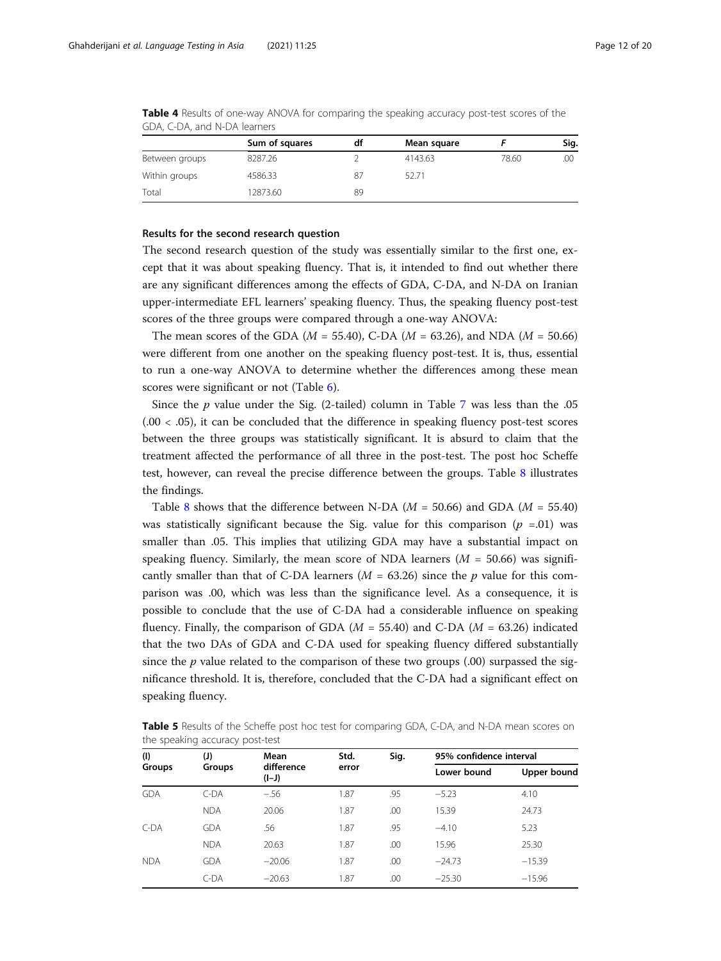|                | Sum of squares | df | Mean square |       | Sig. |
|----------------|----------------|----|-------------|-------|------|
| Between groups | 8287.26        |    | 4143.63     | 78.60 | .00  |
| Within groups  | 4586.33        | 87 | 52.71       |       |      |
| Total          | 12873.60       | 89 |             |       |      |

<span id="page-11-0"></span>Table 4 Results of one-way ANOVA for comparing the speaking accuracy post-test scores of the GDA, C-DA, and N-DA learners

#### Results for the second research question

The second research question of the study was essentially similar to the first one, except that it was about speaking fluency. That is, it intended to find out whether there are any significant differences among the effects of GDA, C-DA, and N-DA on Iranian upper-intermediate EFL learners' speaking fluency. Thus, the speaking fluency post-test scores of the three groups were compared through a one-way ANOVA:

The mean scores of the GDA ( $M = 55.40$ ), C-DA ( $M = 63.26$ ), and NDA ( $M = 50.66$ ) were different from one another on the speaking fluency post-test. It is, thus, essential to run a one-way ANOVA to determine whether the differences among these mean scores were significant or not (Table [6](#page-12-0)).

Since the  $p$  value under the Sig. (2-tailed) column in Table [7](#page-12-0) was less than the .05  $(.00 < .05)$ , it can be concluded that the difference in speaking fluency post-test scores between the three groups was statistically significant. It is absurd to claim that the treatment affected the performance of all three in the post-test. The post hoc Scheffe test, however, can reveal the precise difference between the groups. Table [8](#page-13-0) illustrates the findings.

Table [8](#page-13-0) shows that the difference between N-DA ( $M = 50.66$ ) and GDA ( $M = 55.40$ ) was statistically significant because the Sig. value for this comparison ( $p = 0.01$ ) was smaller than .05. This implies that utilizing GDA may have a substantial impact on speaking fluency. Similarly, the mean score of NDA learners ( $M = 50.66$ ) was significantly smaller than that of C-DA learners  $(M = 63.26)$  since the p value for this comparison was .00, which was less than the significance level. As a consequence, it is possible to conclude that the use of C-DA had a considerable influence on speaking fluency. Finally, the comparison of GDA ( $M = 55.40$ ) and C-DA ( $M = 63.26$ ) indicated that the two DAs of GDA and C-DA used for speaking fluency differed substantially since the  $p$  value related to the comparison of these two groups  $(.00)$  surpassed the significance threshold. It is, therefore, concluded that the C-DA had a significant effect on speaking fluency.

**Table 5** Results of the Scheffe post hoc test for comparing GDA, C-DA, and N-DA mean scores on the speaking accuracy post-test

| (1)        | (J)           | Mean                  | Std.  | Sig. | 95% confidence interval |             |  |
|------------|---------------|-----------------------|-------|------|-------------------------|-------------|--|
| Groups     | <b>Groups</b> | difference<br>$(I-J)$ | error |      | Lower bound             | Upper bound |  |
| <b>GDA</b> | $C-DA$        | $-.56$                | 1.87  | .95  | $-5.23$                 | 4.10        |  |
|            | <b>NDA</b>    | 20.06                 | 1.87  | .00  | 15.39                   | 24.73       |  |
| $C-DA$     | <b>GDA</b>    | .56                   | 1.87  | .95  | $-4.10$                 | 5.23        |  |
|            | <b>NDA</b>    | 20.63                 | 1.87  | .00  | 15.96                   | 25.30       |  |
| <b>NDA</b> | <b>GDA</b>    | $-20.06$              | 1.87  | .00  | $-24.73$                | $-15.39$    |  |
|            | $C-DA$        | $-20.63$              | 1.87  | .00  | $-25.30$                | $-15.96$    |  |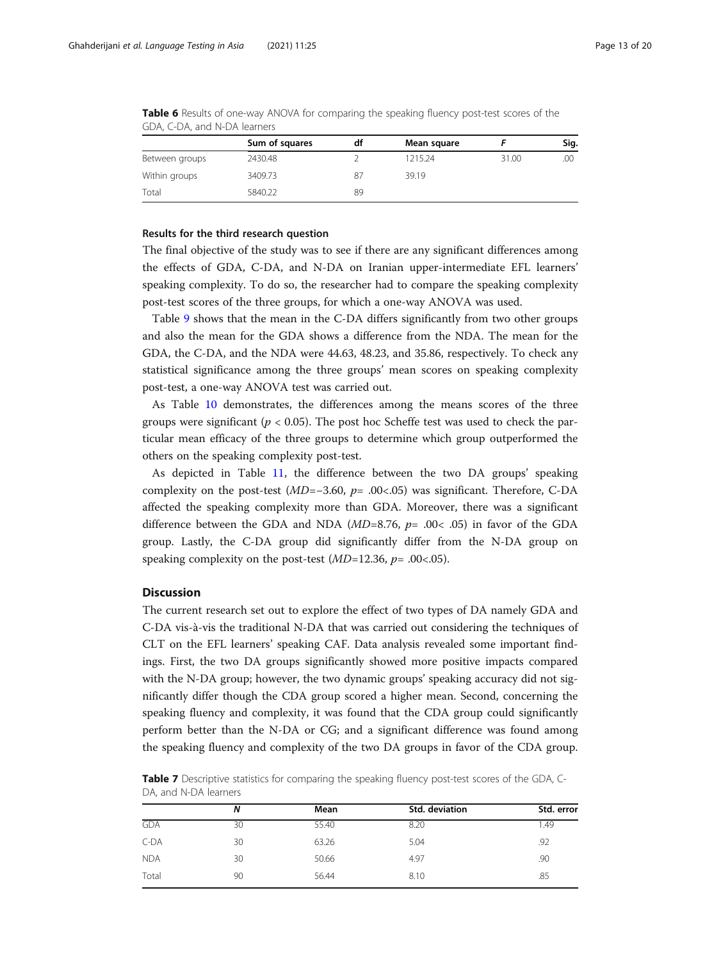|                | Sum of squares | df | Mean square |       | Sig. |
|----------------|----------------|----|-------------|-------|------|
| Between groups | 2430.48        |    | 1215.24     | 31.00 | .00  |
| Within groups  | 3409.73        | 87 | 39.19       |       |      |
| Total          | 5840.22        | 89 |             |       |      |

<span id="page-12-0"></span>Table 6 Results of one-way ANOVA for comparing the speaking fluency post-test scores of the GDA, C-DA, and N-DA learners

#### Results for the third research question

The final objective of the study was to see if there are any significant differences among the effects of GDA, C-DA, and N-DA on Iranian upper-intermediate EFL learners' speaking complexity. To do so, the researcher had to compare the speaking complexity post-test scores of the three groups, for which a one-way ANOVA was used.

Table [9](#page-13-0) shows that the mean in the C-DA differs significantly from two other groups and also the mean for the GDA shows a difference from the NDA. The mean for the GDA, the C-DA, and the NDA were 44.63, 48.23, and 35.86, respectively. To check any statistical significance among the three groups' mean scores on speaking complexity post-test, a one-way ANOVA test was carried out.

As Table [10](#page-14-0) demonstrates, the differences among the means scores of the three groups were significant ( $p < 0.05$ ). The post hoc Scheffe test was used to check the particular mean efficacy of the three groups to determine which group outperformed the others on the speaking complexity post-test.

As depicted in Table [11,](#page-14-0) the difference between the two DA groups' speaking complexity on the post-test (MD=−3.60, p= .00<.05) was significant. Therefore, C-DA affected the speaking complexity more than GDA. Moreover, there was a significant difference between the GDA and NDA ( $MD=8.76$ ,  $p=.00<.05$ ) in favor of the GDA group. Lastly, the C-DA group did significantly differ from the N-DA group on speaking complexity on the post-test ( $MD=12.36$ ,  $p=.00<.05$ ).

# **Discussion**

The current research set out to explore the effect of two types of DA namely GDA and C-DA vis-à-vis the traditional N-DA that was carried out considering the techniques of CLT on the EFL learners' speaking CAF. Data analysis revealed some important findings. First, the two DA groups significantly showed more positive impacts compared with the N-DA group; however, the two dynamic groups' speaking accuracy did not significantly differ though the CDA group scored a higher mean. Second, concerning the speaking fluency and complexity, it was found that the CDA group could significantly perform better than the N-DA or CG; and a significant difference was found among the speaking fluency and complexity of the two DA groups in favor of the CDA group.

Table 7 Descriptive statistics for comparing the speaking fluency post-test scores of the GDA, C-DA, and N-DA learners

|            | N  | Mean  | Std. deviation | Std. error |
|------------|----|-------|----------------|------------|
| <b>GDA</b> | 30 | 55.40 | 8.20           | 1.49       |
| $C-DA$     | 30 | 63.26 | 5.04           | .92        |
| <b>NDA</b> | 30 | 50.66 | 4.97           | .90        |
| Total      | 90 | 56.44 | 8.10           | .85        |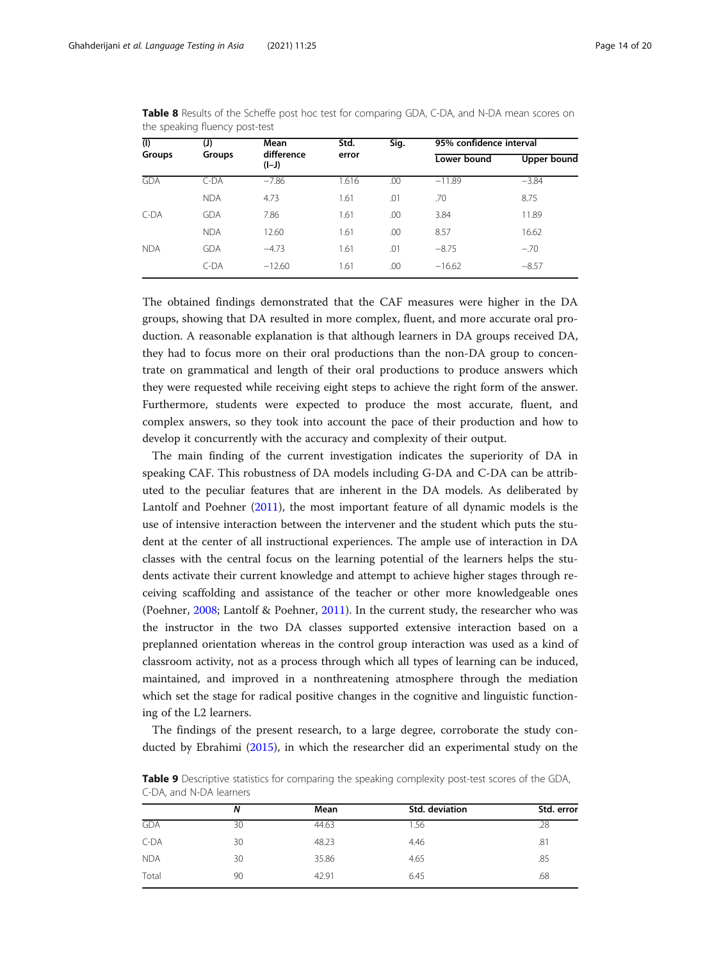| (J)<br><b>Groups</b> | Mean     | Std.       | Sig. | 95% confidence interval |             |  |
|----------------------|----------|------------|------|-------------------------|-------------|--|
|                      | $(I-J)$  | error      |      | Lower bound             | Upper bound |  |
| $C$ -DA              | $-7.86$  | 1.616      | .00  | $-11.89$                | $-3.84$     |  |
| <b>NDA</b>           | 4.73     | 1.61       | .01  | .70                     | 8.75        |  |
| <b>GDA</b>           | 7.86     | 1.61       | .00  | 3.84                    | 11.89       |  |
| <b>NDA</b>           | 12.60    | 1.61       | .00  | 8.57                    | 16.62       |  |
| <b>GDA</b>           | $-4.73$  | 1.61       | .01  | $-8.75$                 | $-.70$      |  |
| $C-DA$               | $-12.60$ | 1.61       | .00  | $-16.62$                | $-8.57$     |  |
|                      |          | difference |      |                         |             |  |

<span id="page-13-0"></span>Table 8 Results of the Scheffe post hoc test for comparing GDA, C-DA, and N-DA mean scores on the speaking fluency post-test

The obtained findings demonstrated that the CAF measures were higher in the DA groups, showing that DA resulted in more complex, fluent, and more accurate oral production. A reasonable explanation is that although learners in DA groups received DA, they had to focus more on their oral productions than the non-DA group to concentrate on grammatical and length of their oral productions to produce answers which they were requested while receiving eight steps to achieve the right form of the answer. Furthermore, students were expected to produce the most accurate, fluent, and complex answers, so they took into account the pace of their production and how to develop it concurrently with the accuracy and complexity of their output.

The main finding of the current investigation indicates the superiority of DA in speaking CAF. This robustness of DA models including G-DA and C-DA can be attributed to the peculiar features that are inherent in the DA models. As deliberated by Lantolf and Poehner ([2011](#page-19-0)), the most important feature of all dynamic models is the use of intensive interaction between the intervener and the student which puts the student at the center of all instructional experiences. The ample use of interaction in DA classes with the central focus on the learning potential of the learners helps the students activate their current knowledge and attempt to achieve higher stages through receiving scaffolding and assistance of the teacher or other more knowledgeable ones (Poehner, [2008](#page-19-0); Lantolf & Poehner, [2011](#page-19-0)). In the current study, the researcher who was the instructor in the two DA classes supported extensive interaction based on a preplanned orientation whereas in the control group interaction was used as a kind of classroom activity, not as a process through which all types of learning can be induced, maintained, and improved in a nonthreatening atmosphere through the mediation which set the stage for radical positive changes in the cognitive and linguistic functioning of the L2 learners.

The findings of the present research, to a large degree, corroborate the study conducted by Ebrahimi ([2015](#page-18-0)), in which the researcher did an experimental study on the

|            | N  | Mean  | Std. deviation | Std. error |
|------------|----|-------|----------------|------------|
| <b>GDA</b> | 30 | 44.63 | 1.56           | .28        |
| $C-DA$     | 30 | 48.23 | 4.46           | .81        |
| <b>NDA</b> | 30 | 35.86 | 4.65           | .85        |
| Total      | 90 | 42.91 | 6.45           | .68        |

Table 9 Descriptive statistics for comparing the speaking complexity post-test scores of the GDA, C-DA, and N-DA learners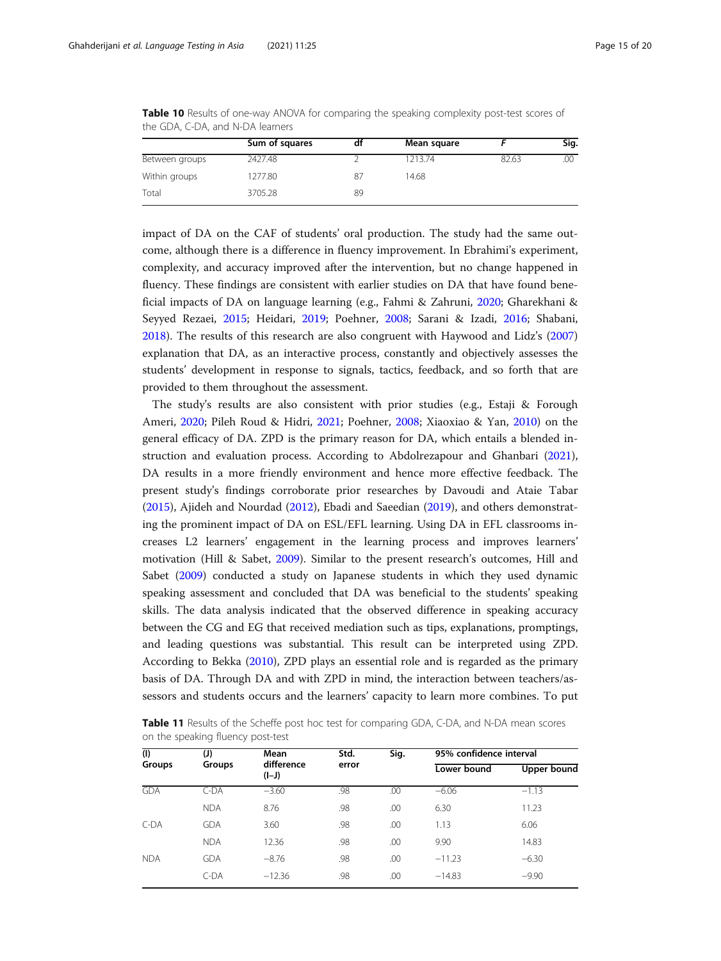|                | Sum of squares | dt | Mean square |       | Sig. |
|----------------|----------------|----|-------------|-------|------|
| Between groups | 2427.48        |    | 1213.74     | 82.63 | .00  |
| Within groups  | 1277.80        | 87 | 14.68       |       |      |
| Total          | 3705.28        | 89 |             |       |      |

<span id="page-14-0"></span>Table 10 Results of one-way ANOVA for comparing the speaking complexity post-test scores of the GDA, C-DA, and N-DA learners

impact of DA on the CAF of students' oral production. The study had the same outcome, although there is a difference in fluency improvement. In Ebrahimi's experiment, complexity, and accuracy improved after the intervention, but no change happened in fluency. These findings are consistent with earlier studies on DA that have found beneficial impacts of DA on language learning (e.g., Fahmi & Zahruni, [2020;](#page-18-0) Gharekhani & Seyyed Rezaei, [2015](#page-18-0); Heidari, [2019](#page-18-0); Poehner, [2008;](#page-19-0) Sarani & Izadi, [2016;](#page-19-0) Shabani, [2018](#page-19-0)). The results of this research are also congruent with Haywood and Lidz's ([2007](#page-18-0)) explanation that DA, as an interactive process, constantly and objectively assesses the students' development in response to signals, tactics, feedback, and so forth that are provided to them throughout the assessment.

The study's results are also consistent with prior studies (e.g., Estaji & Forough Ameri, [2020;](#page-18-0) Pileh Roud & Hidri, [2021;](#page-19-0) Poehner, [2008;](#page-19-0) Xiaoxiao & Yan, [2010\)](#page-19-0) on the general efficacy of DA. ZPD is the primary reason for DA, which entails a blended instruction and evaluation process. According to Abdolrezapour and Ghanbari ([2021](#page-18-0)), DA results in a more friendly environment and hence more effective feedback. The present study's findings corroborate prior researches by Davoudi and Ataie Tabar ([2015](#page-18-0)), Ajideh and Nourdad [\(2012\)](#page-18-0), Ebadi and Saeedian [\(2019\)](#page-18-0), and others demonstrating the prominent impact of DA on ESL/EFL learning. Using DA in EFL classrooms increases L2 learners' engagement in the learning process and improves learners' motivation (Hill & Sabet, [2009\)](#page-19-0). Similar to the present research's outcomes, Hill and Sabet ([2009\)](#page-19-0) conducted a study on Japanese students in which they used dynamic speaking assessment and concluded that DA was beneficial to the students' speaking skills. The data analysis indicated that the observed difference in speaking accuracy between the CG and EG that received mediation such as tips, explanations, promptings, and leading questions was substantial. This result can be interpreted using ZPD. According to Bekka [\(2010\)](#page-18-0), ZPD plays an essential role and is regarded as the primary basis of DA. Through DA and with ZPD in mind, the interaction between teachers/assessors and students occurs and the learners' capacity to learn more combines. To put

| <b>Table 11</b> Results of the Scheffe post hoc test for comparing GDA, C-DA, and N-DA mean scores |  |  |
|----------------------------------------------------------------------------------------------------|--|--|
| on the speaking fluency post-test                                                                  |  |  |

| (1)        | Std.<br>Sig.<br>(J)<br>Mean |                       | 95% confidence interval |     |             |             |
|------------|-----------------------------|-----------------------|-------------------------|-----|-------------|-------------|
| Groups     | Groups                      | difference<br>$(I-J)$ | error                   |     | Lower bound | Upper bound |
| <b>GDA</b> | $C$ -DA                     | $-3.60$               | .98                     | .00 | $-6.06$     | $-1.13$     |
|            | <b>NDA</b>                  | 8.76                  | .98                     | .00 | 6.30        | 11.23       |
| C-DA       | <b>GDA</b>                  | 3.60                  | .98                     | .00 | 1.13        | 6.06        |
|            | <b>NDA</b>                  | 12.36                 | .98                     | .00 | 9.90        | 14.83       |
| <b>NDA</b> | <b>GDA</b>                  | $-8.76$               | .98                     | .00 | $-11.23$    | $-6.30$     |
|            | $C-DA$                      | $-12.36$              | .98                     | .00 | $-14.83$    | $-9.90$     |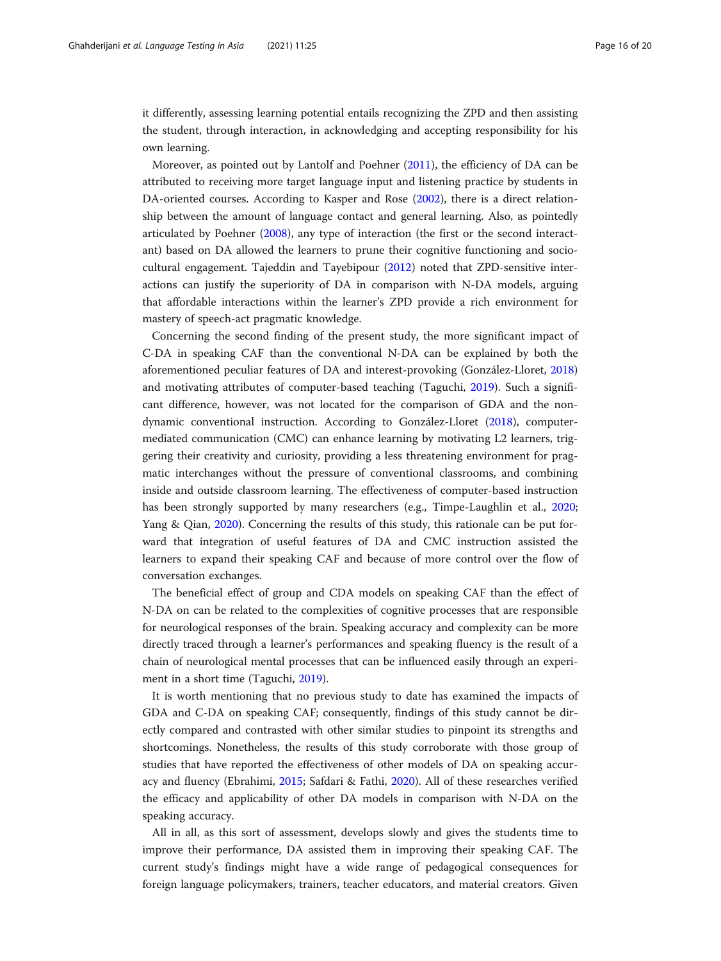it differently, assessing learning potential entails recognizing the ZPD and then assisting the student, through interaction, in acknowledging and accepting responsibility for his own learning.

Moreover, as pointed out by Lantolf and Poehner ([2011](#page-19-0)), the efficiency of DA can be attributed to receiving more target language input and listening practice by students in DA-oriented courses. According to Kasper and Rose [\(2002\)](#page-19-0), there is a direct relationship between the amount of language contact and general learning. Also, as pointedly articulated by Poehner ([2008](#page-19-0)), any type of interaction (the first or the second interactant) based on DA allowed the learners to prune their cognitive functioning and sociocultural engagement. Tajeddin and Tayebipour [\(2012](#page-19-0)) noted that ZPD-sensitive interactions can justify the superiority of DA in comparison with N-DA models, arguing that affordable interactions within the learner's ZPD provide a rich environment for mastery of speech-act pragmatic knowledge.

Concerning the second finding of the present study, the more significant impact of C-DA in speaking CAF than the conventional N-DA can be explained by both the aforementioned peculiar features of DA and interest-provoking (González-Lloret, [2018](#page-18-0)) and motivating attributes of computer-based teaching (Taguchi, [2019](#page-19-0)). Such a significant difference, however, was not located for the comparison of GDA and the nondynamic conventional instruction. According to González-Lloret [\(2018\)](#page-18-0), computermediated communication (CMC) can enhance learning by motivating L2 learners, triggering their creativity and curiosity, providing a less threatening environment for pragmatic interchanges without the pressure of conventional classrooms, and combining inside and outside classroom learning. The effectiveness of computer-based instruction has been strongly supported by many researchers (e.g., Timpe-Laughlin et al., [2020](#page-19-0); Yang & Qian, [2020\)](#page-19-0). Concerning the results of this study, this rationale can be put forward that integration of useful features of DA and CMC instruction assisted the learners to expand their speaking CAF and because of more control over the flow of conversation exchanges.

The beneficial effect of group and CDA models on speaking CAF than the effect of N-DA on can be related to the complexities of cognitive processes that are responsible for neurological responses of the brain. Speaking accuracy and complexity can be more directly traced through a learner's performances and speaking fluency is the result of a chain of neurological mental processes that can be influenced easily through an experiment in a short time (Taguchi, [2019](#page-19-0)).

It is worth mentioning that no previous study to date has examined the impacts of GDA and C-DA on speaking CAF; consequently, findings of this study cannot be directly compared and contrasted with other similar studies to pinpoint its strengths and shortcomings. Nonetheless, the results of this study corroborate with those group of studies that have reported the effectiveness of other models of DA on speaking accuracy and fluency (Ebrahimi, [2015](#page-18-0); Safdari & Fathi, [2020\)](#page-19-0). All of these researches verified the efficacy and applicability of other DA models in comparison with N-DA on the speaking accuracy.

All in all, as this sort of assessment, develops slowly and gives the students time to improve their performance, DA assisted them in improving their speaking CAF. The current study's findings might have a wide range of pedagogical consequences for foreign language policymakers, trainers, teacher educators, and material creators. Given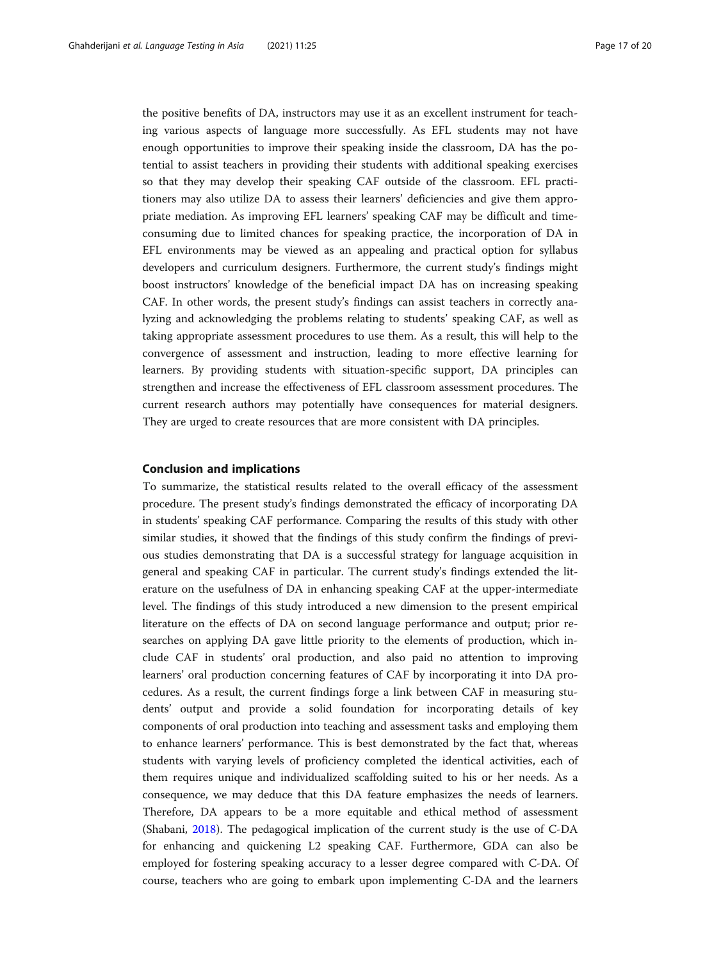the positive benefits of DA, instructors may use it as an excellent instrument for teaching various aspects of language more successfully. As EFL students may not have enough opportunities to improve their speaking inside the classroom, DA has the potential to assist teachers in providing their students with additional speaking exercises so that they may develop their speaking CAF outside of the classroom. EFL practitioners may also utilize DA to assess their learners' deficiencies and give them appropriate mediation. As improving EFL learners' speaking CAF may be difficult and timeconsuming due to limited chances for speaking practice, the incorporation of DA in EFL environments may be viewed as an appealing and practical option for syllabus developers and curriculum designers. Furthermore, the current study's findings might boost instructors' knowledge of the beneficial impact DA has on increasing speaking CAF. In other words, the present study's findings can assist teachers in correctly analyzing and acknowledging the problems relating to students' speaking CAF, as well as taking appropriate assessment procedures to use them. As a result, this will help to the convergence of assessment and instruction, leading to more effective learning for learners. By providing students with situation-specific support, DA principles can strengthen and increase the effectiveness of EFL classroom assessment procedures. The current research authors may potentially have consequences for material designers. They are urged to create resources that are more consistent with DA principles.

# Conclusion and implications

To summarize, the statistical results related to the overall efficacy of the assessment procedure. The present study's findings demonstrated the efficacy of incorporating DA in students' speaking CAF performance. Comparing the results of this study with other similar studies, it showed that the findings of this study confirm the findings of previous studies demonstrating that DA is a successful strategy for language acquisition in general and speaking CAF in particular. The current study's findings extended the literature on the usefulness of DA in enhancing speaking CAF at the upper-intermediate level. The findings of this study introduced a new dimension to the present empirical literature on the effects of DA on second language performance and output; prior researches on applying DA gave little priority to the elements of production, which include CAF in students' oral production, and also paid no attention to improving learners' oral production concerning features of CAF by incorporating it into DA procedures. As a result, the current findings forge a link between CAF in measuring students' output and provide a solid foundation for incorporating details of key components of oral production into teaching and assessment tasks and employing them to enhance learners' performance. This is best demonstrated by the fact that, whereas students with varying levels of proficiency completed the identical activities, each of them requires unique and individualized scaffolding suited to his or her needs. As a consequence, we may deduce that this DA feature emphasizes the needs of learners. Therefore, DA appears to be a more equitable and ethical method of assessment (Shabani, [2018\)](#page-19-0). The pedagogical implication of the current study is the use of C-DA for enhancing and quickening L2 speaking CAF. Furthermore, GDA can also be employed for fostering speaking accuracy to a lesser degree compared with C-DA. Of course, teachers who are going to embark upon implementing C-DA and the learners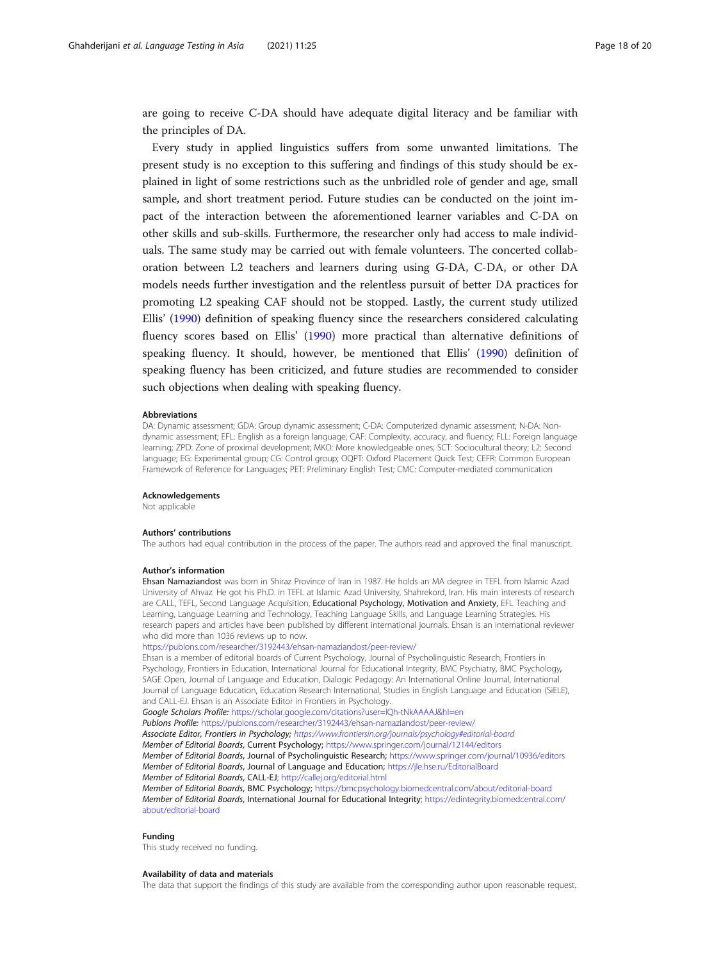are going to receive C-DA should have adequate digital literacy and be familiar with the principles of DA.

Every study in applied linguistics suffers from some unwanted limitations. The present study is no exception to this suffering and findings of this study should be explained in light of some restrictions such as the unbridled role of gender and age, small sample, and short treatment period. Future studies can be conducted on the joint impact of the interaction between the aforementioned learner variables and C-DA on other skills and sub-skills. Furthermore, the researcher only had access to male individuals. The same study may be carried out with female volunteers. The concerted collaboration between L2 teachers and learners during using G-DA, C-DA, or other DA models needs further investigation and the relentless pursuit of better DA practices for promoting L2 speaking CAF should not be stopped. Lastly, the current study utilized Ellis' [\(1990\)](#page-18-0) definition of speaking fluency since the researchers considered calculating fluency scores based on Ellis' [\(1990](#page-18-0)) more practical than alternative definitions of speaking fluency. It should, however, be mentioned that Ellis' ([1990](#page-18-0)) definition of speaking fluency has been criticized, and future studies are recommended to consider such objections when dealing with speaking fluency.

#### **Abbreviations**

DA: Dynamic assessment; GDA: Group dynamic assessment; C-DA: Computerized dynamic assessment; N-DA: Nondynamic assessment; EFL: English as a foreign language; CAF: Complexity, accuracy, and fluency; FLL: Foreign language learning; ZPD: Zone of proximal development; MKO: More knowledgeable ones; SCT: Sociocultural theory; L2: Second language; EG: Experimental group; CG: Control group; OQPT: Oxford Placement Quick Test; CEFR: Common European Framework of Reference for Languages; PET: Preliminary English Test; CMC: Computer-mediated communication

#### Acknowledgements

Not applicable

#### Authors' contributions

The authors had equal contribution in the process of the paper. The authors read and approved the final manuscript.

#### Author's information

Ehsan Namaziandost was born in Shiraz Province of Iran in 1987. He holds an MA degree in TEFL from Islamic Azad University of Ahvaz. He got his Ph.D. in TEFL at Islamic Azad University, Shahrekord, Iran. His main interests of research are CALL, TEFL, Second Language Acquisition, Educational Psychology, Motivation and Anxiety, EFL Teaching and Learning, Language Learning and Technology, Teaching Language Skills, and Language Learning Strategies. His research papers and articles have been published by different international journals. Ehsan is an international reviewer who did more than 1036 reviews up to now.

#### <https://publons.com/researcher/3192443/ehsan-namaziandost/peer-review/>

Ehsan is a member of editorial boards of Current Psychology, Journal of Psycholinguistic Research, Frontiers in Psychology, Frontiers in Education, International Journal for Educational Integrity, BMC Psychiatry, BMC Psychology, SAGE Open, Journal of Language and Education, Dialogic Pedagogy: An International Online Journal, International Journal of Language Education, Education Research International, Studies in English Language and Education (SiELE), and CALL-EJ. Ehsan is an Associate Editor in Frontiers in Psychology.

Google Scholars Profile: <https://scholar.google.com/citations?user=lQh-tNkAAAAJ&hl=en> Publons Profile: <https://publons.com/researcher/3192443/ehsan-namaziandost/peer-review/> Associate Editor, Frontiers in Psychology; <https://www.frontiersin.org/journals/psychology#editorial-board> Member of Editorial Boards, Current Psychology; <https://www.springer.com/journal/12144/editors> Member of Editorial Boards, Journal of Psycholinguistic Research; <https://www.springer.com/journal/10936/editors> Member of Editorial Boards, Journal of Language and Education; <https://jle.hse.ru/EditorialBoard> Member of Editorial Boards, CALL-EJ; <http://callej.org/editorial.html> Member of Editorial Boards, BMC Psychology; <https://bmcpsychology.biomedcentral.com/about/editorial-board> Member of Editorial Boards, International Journal for Educational Integrity; [https://edintegrity.biomedcentral.com/](https://edintegrity.biomedcentral.com/about/editorial-board) [about/editorial-board](https://edintegrity.biomedcentral.com/about/editorial-board)

#### Funding

This study received no funding.

#### Availability of data and materials

The data that support the findings of this study are available from the corresponding author upon reasonable request.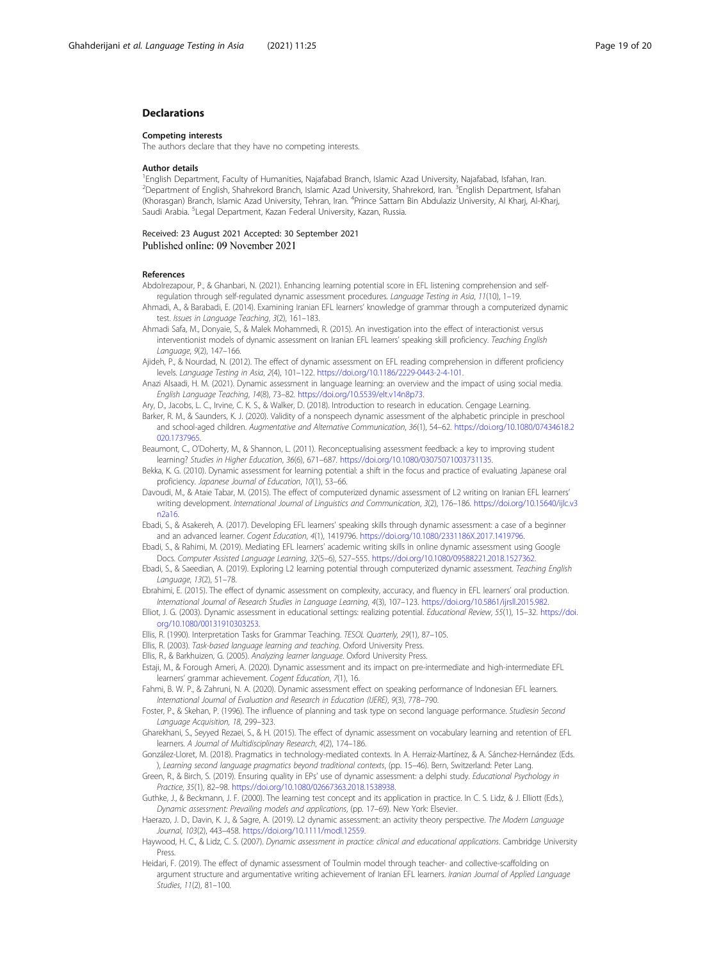# <span id="page-18-0"></span>Declarations

#### Competing interests

The authors declare that they have no competing interests.

#### Author details

<sup>1</sup> English Department, Faculty of Humanities, Najafabad Branch, Islamic Azad University, Najafabad, Isfahan, Iran. <sup>2</sup>Department of English, Shahrekord Branch, Islamic Azad University, Shahrekord, Iran. <sup>3</sup>English Department, Isfahan (Khorasgan) Branch, Islamic Azad University, Tehran, Iran. <sup>4</sup>Prince Sattam Bin Abdulaziz University, Al Kharj, Al-Kharj, Saudi Arabia. <sup>5</sup>Legal Department, Kazan Federal University, Kazan, Russia.

Received: 23 August 2021 Accepted: 30 September 2021 Published online: 09 November 2021

#### References

- Abdolrezapour, P., & Ghanbari, N. (2021). Enhancing learning potential score in EFL listening comprehension and selfregulation through self-regulated dynamic assessment procedures. Language Testing in Asia, 11(10), 1–19.
- Ahmadi, A., & Barabadi, E. (2014). Examining Iranian EFL learners' knowledge of grammar through a computerized dynamic test. Issues in Language Teaching, 3(2), 161–183.
- Ahmadi Safa, M., Donyaie, S., & Malek Mohammedi, R. (2015). An investigation into the effect of interactionist versus interventionist models of dynamic assessment on Iranian EFL learners' speaking skill proficiency. Teaching English Language, 9(2), 147–166.

Ajideh, P., & Nourdad, N. (2012). The effect of dynamic assessment on EFL reading comprehension in different proficiency levels. Language Testing in Asia, 2(4), 101–122. [https://doi.org/10.1186/2229-0443-2-4-101.](https://doi.org/10.1186/2229-0443-2-4-101)

Anazi Alsaadi, H. M. (2021). Dynamic assessment in language learning: an overview and the impact of using social media. English Language Teaching, 14(8), 73–82. <https://doi.org/10.5539/elt.v14n8p73>.

Ary, D., Jacobs, L. C., Irvine, C. K. S., & Walker, D. (2018). Introduction to research in education. Cengage Learning.

- Barker, R. M., & Saunders, K. J. (2020). Validity of a nonspeech dynamic assessment of the alphabetic principle in preschool and school-aged children. Augmentative and Alternative Communication, 36(1), 54–62. [https://doi.org/10.1080/07434618.2](https://doi.org/10.1080/07434618.2020.1737965) [020.1737965.](https://doi.org/10.1080/07434618.2020.1737965)
- Beaumont, C., O'Doherty, M., & Shannon, L. (2011). Reconceptualising assessment feedback: a key to improving student learning? Studies in Higher Education, 36(6), 671–687. <https://doi.org/10.1080/03075071003731135>.
- Bekka, K. G. (2010). Dynamic assessment for learning potential: a shift in the focus and practice of evaluating Japanese oral proficiency. Japanese Journal of Education, 10(1), 53–66.
- Davoudi, M., & Ataie Tabar, M. (2015). The effect of computerized dynamic assessment of L2 writing on Iranian EFL learners' writing development. International Journal of Linguistics and Communication, 3(2), 176–186. [https://doi.org/10.15640/ijlc.v3](https://doi.org/10.15640/ijlc.v3n2a16) [n2a16.](https://doi.org/10.15640/ijlc.v3n2a16)
- Ebadi, S., & Asakereh, A. (2017). Developing EFL learners' speaking skills through dynamic assessment: a case of a beginner and an advanced learner. Cogent Education, 4(1), 1419796. <https://doi.org/10.1080/2331186X.2017.1419796>.

Ebadi, S., & Rahimi, M. (2019). Mediating EFL learners' academic writing skills in online dynamic assessment using Google Docs. Computer Assisted Language Learning, 32(5–6), 527–555. [https://doi.org/10.1080/09588221.2018.1527362.](https://doi.org/10.1080/09588221.2018.1527362)

- Ebadi, S., & Saeedian, A. (2019). Exploring L2 learning potential through computerized dynamic assessment. Teaching English Language, 13(2), 51–78.
- Ebrahimi, E. (2015). The effect of dynamic assessment on complexity, accuracy, and fluency in EFL learners' oral production. International Journal of Research Studies in Language Learning, 4(3), 107–123. [https://doi.org/10.5861/ijrsll.2015.982.](https://doi.org/10.5861/ijrsll.2015.982)
- Elliot, J. G. (2003). Dynamic assessment in educational settings: realizing potential. Educational Review, 55(1), 15–32. [https://doi.](https://doi.org/10.1080/00131910303253) [org/10.1080/00131910303253.](https://doi.org/10.1080/00131910303253)
- Ellis, R. (1990). Interpretation Tasks for Grammar Teaching. TESOL Quarterly, 29(1), 87–105.
- Ellis, R. (2003). Task-based language learning and teaching. Oxford University Press.
- Ellis, R., & Barkhuizen, G. (2005). Analyzing learner language. Oxford University Press.
- Estaji, M., & Forough Ameri, A. (2020). Dynamic assessment and its impact on pre-intermediate and high-intermediate EFL learners' grammar achievement. Cogent Education, 7(1), 16.
- Fahmi, B. W. P., & Zahruni, N. A. (2020). Dynamic assessment effect on speaking performance of Indonesian EFL learners. International Journal of Evaluation and Research in Education (IJERE), 9(3), 778–790.
- Foster, P., & Skehan, P. (1996). The influence of planning and task type on second language performance. Studiesin Second Language Acquisition, 18, 299–323.
- Gharekhani, S., Seyyed Rezaei, S., & H. (2015). The effect of dynamic assessment on vocabulary learning and retention of EFL learners. A Journal of Multidisciplinary Research, 4(2), 174–186.
- González-Lloret, M. (2018). Pragmatics in technology-mediated contexts. In A. Herraiz-Martínez, & A. Sánchez-Hernández (Eds. ), Learning second language pragmatics beyond traditional contexts, (pp. 15–46). Bern, Switzerland: Peter Lang.
- Green, R., & Birch, S. (2019). Ensuring quality in EPs' use of dynamic assessment: a delphi study. Educational Psychology in Practice, 35(1), 82–98. <https://doi.org/10.1080/02667363.2018.1538938>.
- Guthke, J., & Beckmann, J. F. (2000). The learning test concept and its application in practice. In C. S. Lidz, & J. Elliott (Eds.), Dynamic assessment: Prevailing models and applications, (pp. 17–69). New York: Elsevier.
- Haerazo, J. D., Davin, K. J., & Sagre, A. (2019). L2 dynamic assessment: an activity theory perspective. The Modern Language Journal, 103(2), 443–458. <https://doi.org/10.1111/modl.12559>.
- Haywood, H. C., & Lidz, C. S. (2007). Dynamic assessment in practice: clinical and educational applications. Cambridge University Press.
- Heidari, F. (2019). The effect of dynamic assessment of Toulmin model through teacher- and collective-scaffolding on argument structure and argumentative writing achievement of Iranian EFL learners. Iranian Journal of Applied Language Studies, 11(2), 81–100.